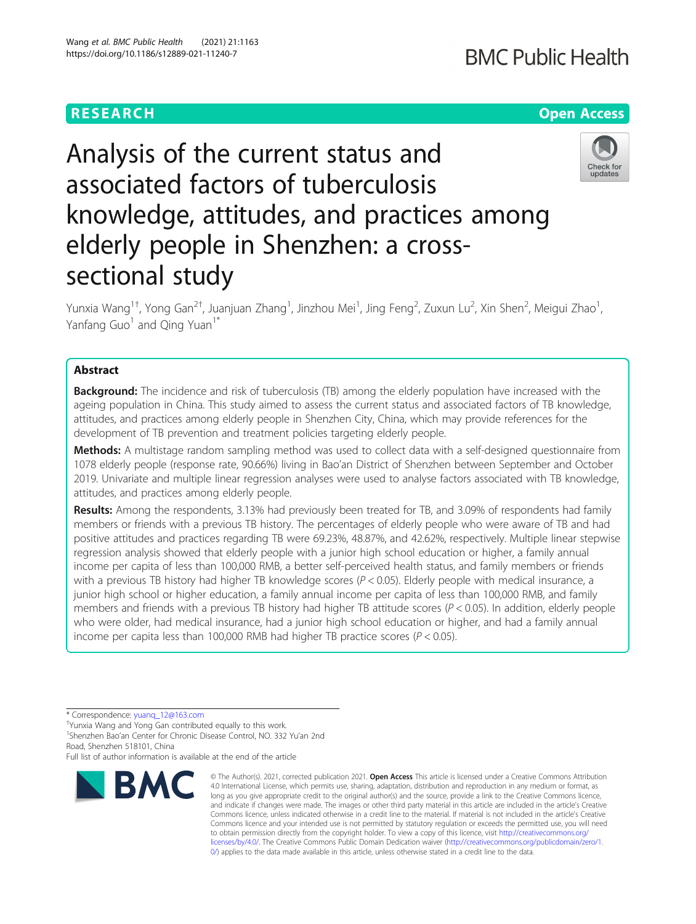# Analysis of the current status and associated factors of tuberculosis knowledge, attitudes, and practices among elderly people in Shenzhen: a crosssectional study

Yunxia Wang<sup>1†</sup>, Yong Gan<sup>2†</sup>, Juanjuan Zhang<sup>1</sup>, Jinzhou Mei<sup>1</sup>, Jing Feng<sup>2</sup>, Zuxun Lu<sup>2</sup>, Xin Shen<sup>2</sup>, Meigui Zhao<sup>1</sup> , Yanfang Guo<sup>1</sup> and Qing Yuan<sup>1\*</sup>

## Abstract

**Background:** The incidence and risk of tuberculosis (TB) among the elderly population have increased with the ageing population in China. This study aimed to assess the current status and associated factors of TB knowledge, attitudes, and practices among elderly people in Shenzhen City, China, which may provide references for the development of TB prevention and treatment policies targeting elderly people.

Methods: A multistage random sampling method was used to collect data with a self-designed questionnaire from 1078 elderly people (response rate, 90.66%) living in Bao'an District of Shenzhen between September and October 2019. Univariate and multiple linear regression analyses were used to analyse factors associated with TB knowledge, attitudes, and practices among elderly people.

Results: Among the respondents, 3.13% had previously been treated for TB, and 3.09% of respondents had family members or friends with a previous TB history. The percentages of elderly people who were aware of TB and had positive attitudes and practices regarding TB were 69.23%, 48.87%, and 42.62%, respectively. Multiple linear stepwise regression analysis showed that elderly people with a junior high school education or higher, a family annual income per capita of less than 100,000 RMB, a better self-perceived health status, and family members or friends with a previous TB history had higher TB knowledge scores (P < 0.05). Elderly people with medical insurance, a junior high school or higher education, a family annual income per capita of less than 100,000 RMB, and family members and friends with a previous TB history had higher TB attitude scores ( $P < 0.05$ ). In addition, elderly people who were older, had medical insurance, had a junior high school education or higher, and had a family annual income per capita less than 100,000 RMB had higher TB practice scores ( $P < 0.05$ ).

Full list of author information is available at the end of the article





## **BMC Public Health**



<sup>©</sup> The Author(s). 2021, corrected publication 2021. Open Access This article is licensed under a Creative Commons Attribution 4.0 International License, which permits use, sharing, adaptation, distribution and reproduction in any medium or format, as long as you give appropriate credit to the original author(s) and the source, provide a link to the Creative Commons licence, and indicate if changes were made. The images or other third party material in this article are included in the article's Creative Commons licence, unless indicated otherwise in a credit line to the material. If material is not included in the article's Creative Commons licence and your intended use is not permitted by statutory regulation or exceeds the permitted use, you will need to obtain permission directly from the copyright holder. To view a copy of this licence, visit [http://creativecommons.org/](http://creativecommons.org/licenses/by/4.0/) [licenses/by/4.0/.](http://creativecommons.org/licenses/by/4.0/) The Creative Commons Public Domain Dedication waiver ([http://creativecommons.org/publicdomain/zero/1.](http://creativecommons.org/publicdomain/zero/1.0/) [0/\)](http://creativecommons.org/publicdomain/zero/1.0/) applies to the data made available in this article, unless otherwise stated in a credit line to the data.

<sup>\*</sup> Correspondence: [yuanq\\_12@163.com](mailto:yuanq_12@163.com) †

Yunxia Wang and Yong Gan contributed equally to this work.

<sup>1</sup> Shenzhen Bao'an Center for Chronic Disease Control, NO. 332 Yu'an 2nd Road, Shenzhen 518101, China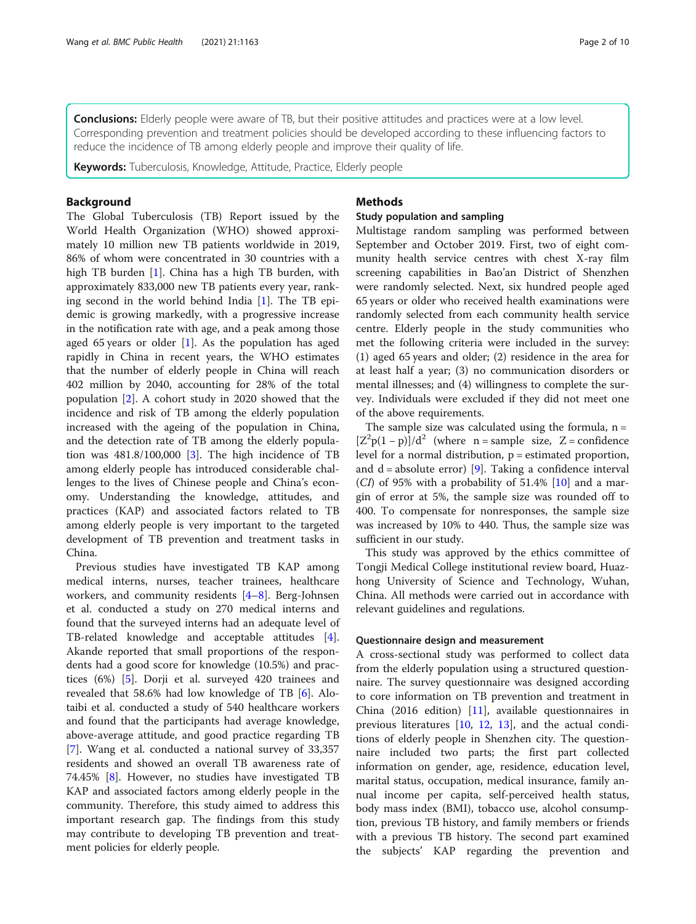Conclusions: Elderly people were aware of TB, but their positive attitudes and practices were at a low level. Corresponding prevention and treatment policies should be developed according to these influencing factors to reduce the incidence of TB among elderly people and improve their quality of life.

Keywords: Tuberculosis, Knowledge, Attitude, Practice, Elderly people

## Background

The Global Tuberculosis (TB) Report issued by the World Health Organization (WHO) showed approximately 10 million new TB patients worldwide in 2019, 86% of whom were concentrated in 30 countries with a high TB burden [\[1](#page-9-0)]. China has a high TB burden, with approximately 833,000 new TB patients every year, ranking second in the world behind India  $[1]$  $[1]$ . The TB epidemic is growing markedly, with a progressive increase in the notification rate with age, and a peak among those aged 65 years or older [\[1](#page-9-0)]. As the population has aged rapidly in China in recent years, the WHO estimates that the number of elderly people in China will reach 402 million by 2040, accounting for 28% of the total population [[2\]](#page-9-0). A cohort study in 2020 showed that the incidence and risk of TB among the elderly population increased with the ageing of the population in China, and the detection rate of TB among the elderly population was 481.8/100,000 [[3\]](#page-9-0). The high incidence of TB among elderly people has introduced considerable challenges to the lives of Chinese people and China's economy. Understanding the knowledge, attitudes, and practices (KAP) and associated factors related to TB among elderly people is very important to the targeted development of TB prevention and treatment tasks in China.

Previous studies have investigated TB KAP among medical interns, nurses, teacher trainees, healthcare workers, and community residents [\[4](#page-9-0)–[8](#page-9-0)]. Berg-Johnsen et al. conducted a study on 270 medical interns and found that the surveyed interns had an adequate level of TB-related knowledge and acceptable attitudes [\[4](#page-9-0)]. Akande reported that small proportions of the respondents had a good score for knowledge (10.5%) and practices (6%) [\[5](#page-9-0)]. Dorji et al. surveyed 420 trainees and revealed that 58.6% had low knowledge of TB [\[6](#page-9-0)]. Alotaibi et al. conducted a study of 540 healthcare workers and found that the participants had average knowledge, above-average attitude, and good practice regarding TB [[7\]](#page-9-0). Wang et al. conducted a national survey of 33,357 residents and showed an overall TB awareness rate of 74.45% [[8](#page-9-0)]. However, no studies have investigated TB KAP and associated factors among elderly people in the community. Therefore, this study aimed to address this important research gap. The findings from this study may contribute to developing TB prevention and treatment policies for elderly people.

## Methods

## Study population and sampling

Multistage random sampling was performed between September and October 2019. First, two of eight community health service centres with chest X-ray film screening capabilities in Bao'an District of Shenzhen were randomly selected. Next, six hundred people aged 65 years or older who received health examinations were randomly selected from each community health service centre. Elderly people in the study communities who met the following criteria were included in the survey: (1) aged 65 years and older; (2) residence in the area for at least half a year; (3) no communication disorders or mental illnesses; and (4) willingness to complete the survey. Individuals were excluded if they did not meet one of the above requirements.

The sample size was calculated using the formula,  $n =$  $[Z^2p(1-p)]/d^2$  (where n = sample size, Z = confidence level for a normal distribution,  $p =$  estimated proportion, and  $d = absolute error$  [\[9](#page-9-0)]. Taking a confidence interval  $(CI)$  of 95% with a probability of 51.4%  $[10]$  $[10]$  and a margin of error at 5%, the sample size was rounded off to 400. To compensate for nonresponses, the sample size was increased by 10% to 440. Thus, the sample size was sufficient in our study.

This study was approved by the ethics committee of Tongji Medical College institutional review board, Huazhong University of Science and Technology, Wuhan, China. All methods were carried out in accordance with relevant guidelines and regulations.

## Questionnaire design and measurement

A cross-sectional study was performed to collect data from the elderly population using a structured questionnaire. The survey questionnaire was designed according to core information on TB prevention and treatment in China (2016 edition) [[11\]](#page-9-0), available questionnaires in previous literatures [[10,](#page-9-0) [12](#page-9-0), [13](#page-9-0)], and the actual conditions of elderly people in Shenzhen city. The questionnaire included two parts; the first part collected information on gender, age, residence, education level, marital status, occupation, medical insurance, family annual income per capita, self-perceived health status, body mass index (BMI), tobacco use, alcohol consumption, previous TB history, and family members or friends with a previous TB history. The second part examined the subjects' KAP regarding the prevention and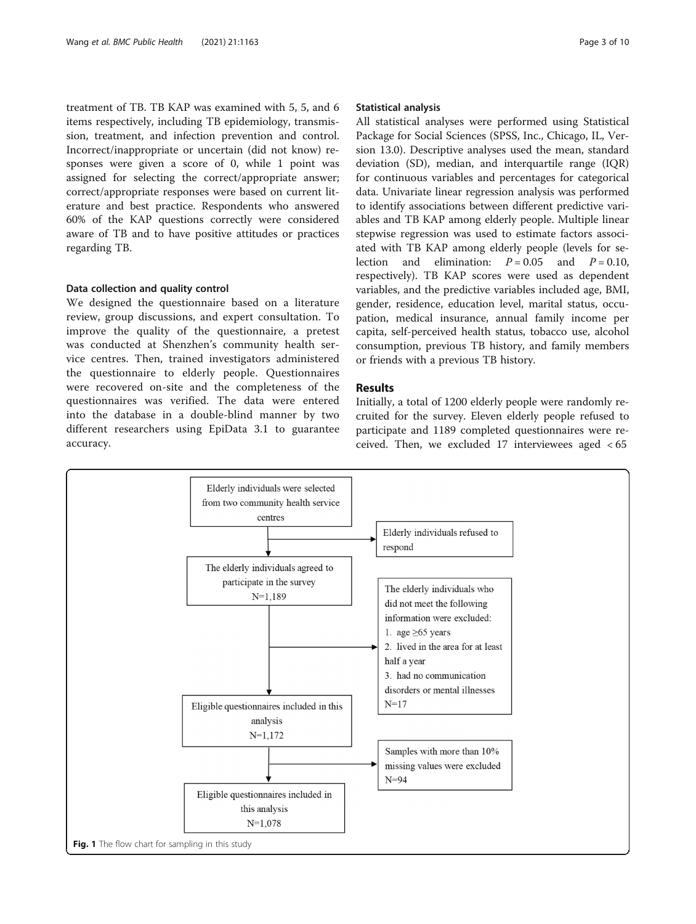<span id="page-2-0"></span>treatment of TB. TB KAP was examined with 5, 5, and 6 items respectively, including TB epidemiology, transmission, treatment, and infection prevention and control. Incorrect/inappropriate or uncertain (did not know) responses were given a score of 0, while 1 point was assigned for selecting the correct/appropriate answer; correct/appropriate responses were based on current literature and best practice. Respondents who answered 60% of the KAP questions correctly were considered aware of TB and to have positive attitudes or practices regarding TB.

## Data collection and quality control

We designed the questionnaire based on a literature review, group discussions, and expert consultation. To improve the quality of the questionnaire, a pretest was conducted at Shenzhen's community health service centres. Then, trained investigators administered the questionnaire to elderly people. Questionnaires were recovered on-site and the completeness of the questionnaires was verified. The data were entered into the database in a double-blind manner by two different researchers using EpiData 3.1 to guarantee accuracy.

## Statistical analysis

All statistical analyses were performed using Statistical Package for Social Sciences (SPSS, Inc., Chicago, IL, Version 13.0). Descriptive analyses used the mean, standard deviation (SD), median, and interquartile range (IQR) for continuous variables and percentages for categorical data. Univariate linear regression analysis was performed to identify associations between different predictive variables and TB KAP among elderly people. Multiple linear stepwise regression was used to estimate factors associated with TB KAP among elderly people (levels for selection and elimination:  $P = 0.05$  and  $P = 0.10$ , respectively). TB KAP scores were used as dependent variables, and the predictive variables included age, BMI, gender, residence, education level, marital status, occupation, medical insurance, annual family income per capita, self-perceived health status, tobacco use, alcohol consumption, previous TB history, and family members or friends with a previous TB history.

## Results

Initially, a total of 1200 elderly people were randomly recruited for the survey. Eleven elderly people refused to participate and 1189 completed questionnaires were received. Then, we excluded 17 interviewees aged < 65

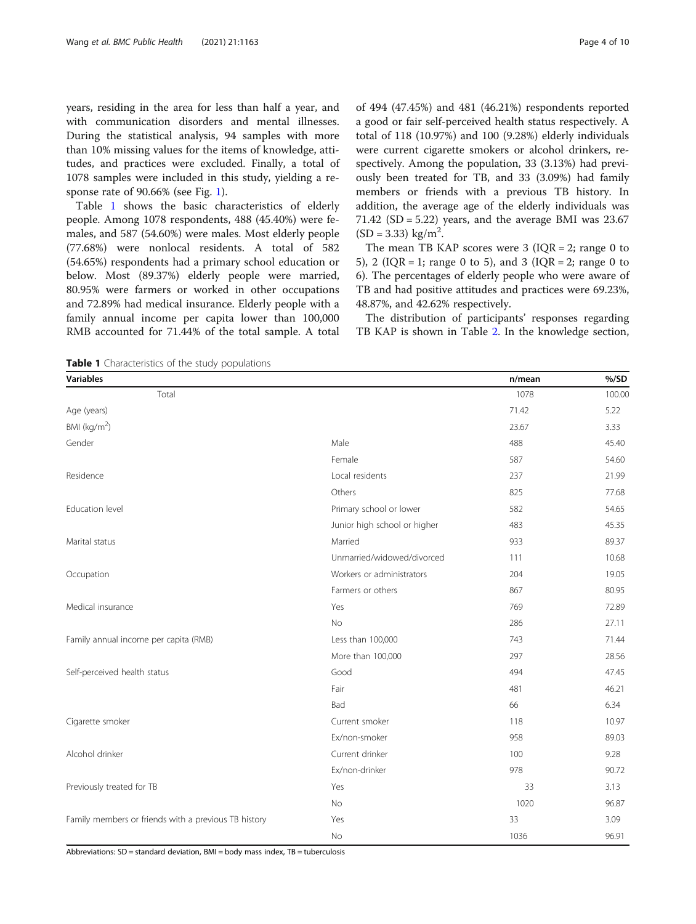years, residing in the area for less than half a year, and with communication disorders and mental illnesses. During the statistical analysis, 94 samples with more than 10% missing values for the items of knowledge, attitudes, and practices were excluded. Finally, a total of 1078 samples were included in this study, yielding a re-sponse rate of 90.66% (see Fig. [1](#page-2-0)).

Table 1 shows the basic characteristics of elderly people. Among 1078 respondents, 488 (45.40%) were females, and 587 (54.60%) were males. Most elderly people (77.68%) were nonlocal residents. A total of 582 (54.65%) respondents had a primary school education or below. Most (89.37%) elderly people were married, 80.95% were farmers or worked in other occupations and 72.89% had medical insurance. Elderly people with a family annual income per capita lower than 100,000 RMB accounted for 71.44% of the total sample. A total

of 494 (47.45%) and 481 (46.21%) respondents reported a good or fair self-perceived health status respectively. A total of 118 (10.97%) and 100 (9.28%) elderly individuals were current cigarette smokers or alcohol drinkers, respectively. Among the population, 33 (3.13%) had previously been treated for TB, and 33 (3.09%) had family members or friends with a previous TB history. In addition, the average age of the elderly individuals was 71.42 (SD = 5.22) years, and the average BMI was  $23.67$  $(SD = 3.33)$  kg/m<sup>2</sup>.

The mean TB KAP scores were  $3$  (IQR = 2; range 0 to 5), 2 ( $IQR = 1$ ; range 0 to 5), and 3 ( $IQR = 2$ ; range 0 to 6). The percentages of elderly people who were aware of TB and had positive attitudes and practices were 69.23%, 48.87%, and 42.62% respectively.

The distribution of participants' responses regarding TB KAP is shown in Table [2](#page-4-0). In the knowledge section,

Table 1 Characteristics of the study populations

| <b>Variables</b>                                     |                              | n/mean | % /SD  |
|------------------------------------------------------|------------------------------|--------|--------|
| Total                                                |                              | 1078   | 100.00 |
| Age (years)                                          |                              | 71.42  | 5.22   |
| BMI ( $kg/m2$ )                                      |                              | 23.67  | 3.33   |
| Gender                                               | Male                         | 488    | 45.40  |
|                                                      | Female                       | 587    | 54.60  |
| Residence                                            | Local residents              | 237    | 21.99  |
|                                                      | Others                       | 825    | 77.68  |
| Education level                                      | Primary school or lower      | 582    | 54.65  |
|                                                      | Junior high school or higher | 483    | 45.35  |
| Marital status                                       | Married                      | 933    | 89.37  |
|                                                      | Unmarried/widowed/divorced   | 111    | 10.68  |
| Occupation                                           | Workers or administrators    | 204    | 19.05  |
|                                                      | Farmers or others            | 867    | 80.95  |
| Medical insurance                                    | Yes                          | 769    | 72.89  |
|                                                      | <b>No</b>                    | 286    | 27.11  |
| Family annual income per capita (RMB)                | Less than 100,000            | 743    | 71.44  |
|                                                      | More than 100,000            | 297    | 28.56  |
| Self-perceived health status                         | Good                         | 494    | 47.45  |
|                                                      | Fair                         | 481    | 46.21  |
|                                                      | Bad                          | 66     | 6.34   |
| Cigarette smoker                                     | Current smoker               | 118    | 10.97  |
|                                                      | Ex/non-smoker                | 958    | 89.03  |
| Alcohol drinker                                      | Current drinker              | 100    | 9.28   |
|                                                      | Ex/non-drinker               | 978    | 90.72  |
| Previously treated for TB                            | Yes                          | 33     | 3.13   |
|                                                      | No                           | 1020   | 96.87  |
| Family members or friends with a previous TB history | Yes                          | 33     | 3.09   |
|                                                      | No                           | 1036   | 96.91  |

Abbreviations: SD = standard deviation, BMI = body mass index, TB = tuberculosis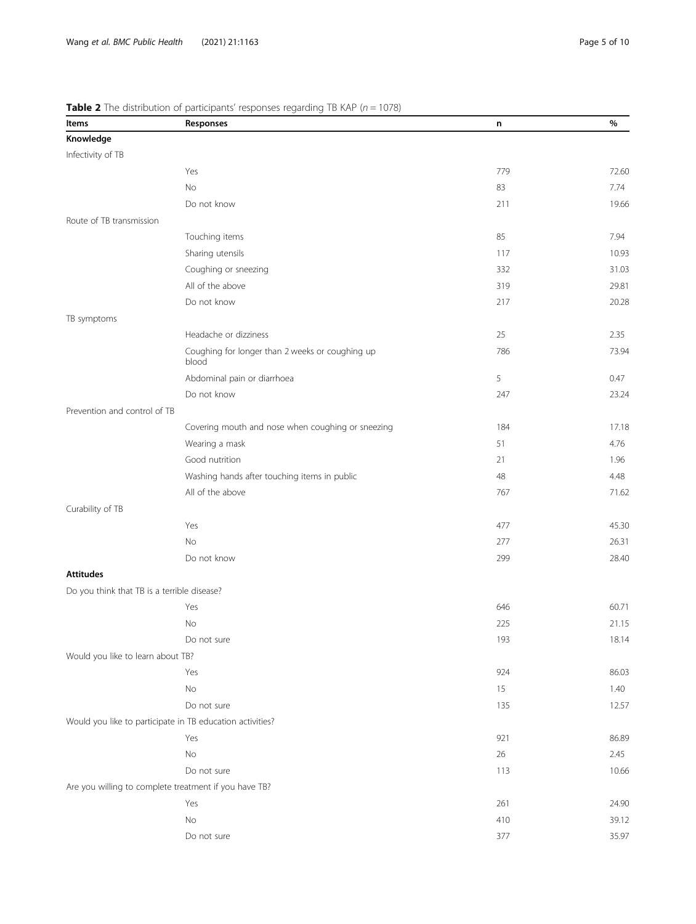| Items                                       | <b>Table 2</b> THE distribution of participants responses regarding TD four $(n - 1070)$<br>Responses | n   | %     |
|---------------------------------------------|-------------------------------------------------------------------------------------------------------|-----|-------|
| Knowledge                                   |                                                                                                       |     |       |
| Infectivity of TB                           |                                                                                                       |     |       |
|                                             | Yes                                                                                                   | 779 | 72.60 |
|                                             | No                                                                                                    | 83  | 7.74  |
|                                             | Do not know                                                                                           | 211 | 19.66 |
| Route of TB transmission                    |                                                                                                       |     |       |
|                                             | Touching items                                                                                        | 85  | 7.94  |
|                                             | Sharing utensils                                                                                      | 117 | 10.93 |
|                                             | Coughing or sneezing                                                                                  | 332 | 31.03 |
|                                             | All of the above                                                                                      | 319 | 29.81 |
|                                             | Do not know                                                                                           | 217 | 20.28 |
| TB symptoms                                 |                                                                                                       |     |       |
|                                             | Headache or dizziness                                                                                 | 25  | 2.35  |
|                                             | Coughing for longer than 2 weeks or coughing up<br>blood                                              | 786 | 73.94 |
|                                             | Abdominal pain or diarrhoea                                                                           | 5   | 0.47  |
|                                             | Do not know                                                                                           | 247 | 23.24 |
| Prevention and control of TB                |                                                                                                       |     |       |
|                                             | Covering mouth and nose when coughing or sneezing                                                     | 184 | 17.18 |
|                                             | Wearing a mask                                                                                        | 51  | 4.76  |
|                                             | Good nutrition                                                                                        | 21  | 1.96  |
|                                             | Washing hands after touching items in public                                                          | 48  | 4.48  |
|                                             | All of the above                                                                                      | 767 | 71.62 |
| Curability of TB                            |                                                                                                       |     |       |
|                                             | Yes                                                                                                   | 477 | 45.30 |
|                                             | No                                                                                                    | 277 | 26.31 |
|                                             | Do not know                                                                                           | 299 | 28.40 |
| <b>Attitudes</b>                            |                                                                                                       |     |       |
| Do you think that TB is a terrible disease? |                                                                                                       |     |       |
|                                             | Yes                                                                                                   | 646 | 60.71 |
|                                             | No                                                                                                    | 225 | 21.15 |
|                                             | Do not sure                                                                                           | 193 | 18.14 |
| Would you like to learn about TB?           |                                                                                                       |     |       |
|                                             | Yes                                                                                                   | 924 | 86.03 |
|                                             | No                                                                                                    | 15  | 1.40  |
|                                             | Do not sure                                                                                           | 135 | 12.57 |
|                                             | Would you like to participate in TB education activities?                                             |     |       |
|                                             | Yes                                                                                                   | 921 | 86.89 |
|                                             | No                                                                                                    | 26  | 2.45  |
|                                             | Do not sure                                                                                           | 113 | 10.66 |
|                                             | Are you willing to complete treatment if you have TB?                                                 |     |       |
|                                             | Yes                                                                                                   | 261 | 24.90 |
|                                             | $\rm No$                                                                                              | 410 | 39.12 |
|                                             | Do not sure                                                                                           | 377 | 35.97 |

## <span id="page-4-0"></span>**Table 2** The distribution of participants' responses regarding TB KAP ( $n = 1078$ )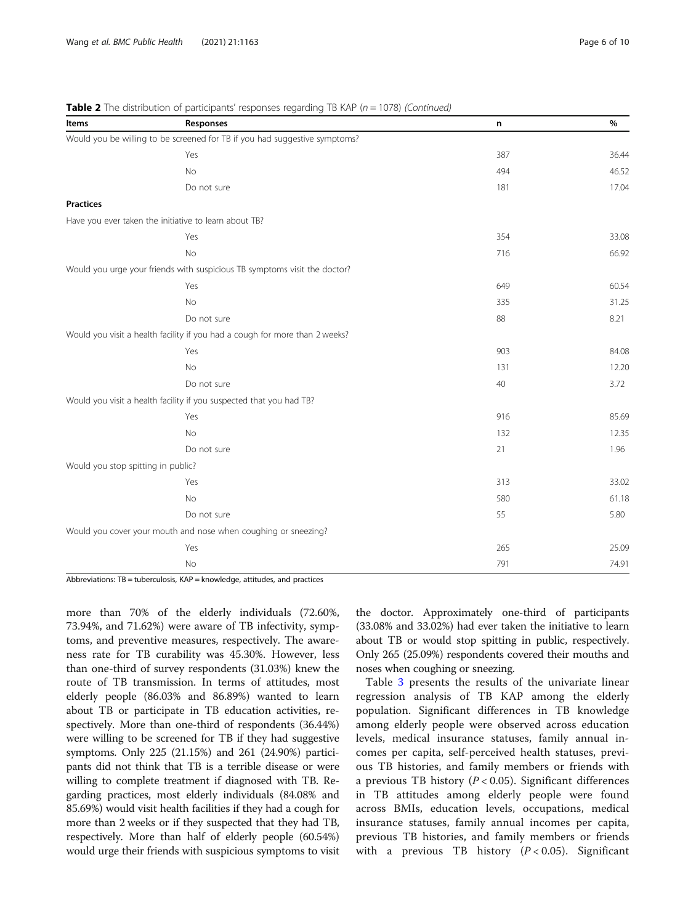| Items                              | Responses                                                                   | n   | %     |
|------------------------------------|-----------------------------------------------------------------------------|-----|-------|
|                                    | Would you be willing to be screened for TB if you had suggestive symptoms?  |     |       |
|                                    | Yes                                                                         | 387 | 36.44 |
|                                    | <b>No</b>                                                                   | 494 | 46.52 |
|                                    | Do not sure                                                                 | 181 | 17.04 |
| <b>Practices</b>                   |                                                                             |     |       |
|                                    | Have you ever taken the initiative to learn about TB?                       |     |       |
|                                    | Yes                                                                         | 354 | 33.08 |
|                                    | No                                                                          | 716 | 66.92 |
|                                    | Would you urge your friends with suspicious TB symptoms visit the doctor?   |     |       |
|                                    | Yes                                                                         | 649 | 60.54 |
|                                    | No                                                                          | 335 | 31.25 |
|                                    | Do not sure                                                                 | 88  | 8.21  |
|                                    | Would you visit a health facility if you had a cough for more than 2 weeks? |     |       |
|                                    | Yes                                                                         | 903 | 84.08 |
|                                    | <b>No</b>                                                                   | 131 | 12.20 |
|                                    | Do not sure                                                                 | 40  | 3.72  |
|                                    | Would you visit a health facility if you suspected that you had TB?         |     |       |
|                                    | Yes                                                                         | 916 | 85.69 |
|                                    | No                                                                          | 132 | 12.35 |
|                                    | Do not sure                                                                 | 21  | 1.96  |
| Would you stop spitting in public? |                                                                             |     |       |
|                                    | Yes                                                                         | 313 | 33.02 |
|                                    | No                                                                          | 580 | 61.18 |
|                                    | Do not sure                                                                 | 55  | 5.80  |
|                                    | Would you cover your mouth and nose when coughing or sneezing?              |     |       |
|                                    | Yes                                                                         | 265 | 25.09 |
|                                    | No                                                                          | 791 | 74.91 |
|                                    |                                                                             |     |       |

**Table 2** The distribution of participants' responses regarding TB KAP ( $n = 1078$ ) (Continued)

Abbreviations: TB = tuberculosis, KAP = knowledge, attitudes, and practices

more than 70% of the elderly individuals (72.60%, 73.94%, and 71.62%) were aware of TB infectivity, symptoms, and preventive measures, respectively. The awareness rate for TB curability was 45.30%. However, less than one-third of survey respondents (31.03%) knew the route of TB transmission. In terms of attitudes, most elderly people (86.03% and 86.89%) wanted to learn about TB or participate in TB education activities, respectively. More than one-third of respondents (36.44%) were willing to be screened for TB if they had suggestive symptoms. Only 225 (21.15%) and 261 (24.90%) participants did not think that TB is a terrible disease or were willing to complete treatment if diagnosed with TB. Regarding practices, most elderly individuals (84.08% and 85.69%) would visit health facilities if they had a cough for more than 2 weeks or if they suspected that they had TB, respectively. More than half of elderly people (60.54%) would urge their friends with suspicious symptoms to visit

the doctor. Approximately one-third of participants (33.08% and 33.02%) had ever taken the initiative to learn about TB or would stop spitting in public, respectively. Only 265 (25.09%) respondents covered their mouths and noses when coughing or sneezing.

Table [3](#page-6-0) presents the results of the univariate linear regression analysis of TB KAP among the elderly population. Significant differences in TB knowledge among elderly people were observed across education levels, medical insurance statuses, family annual incomes per capita, self-perceived health statuses, previous TB histories, and family members or friends with a previous TB history ( $P < 0.05$ ). Significant differences in TB attitudes among elderly people were found across BMIs, education levels, occupations, medical insurance statuses, family annual incomes per capita, previous TB histories, and family members or friends with a previous TB history  $(P < 0.05)$ . Significant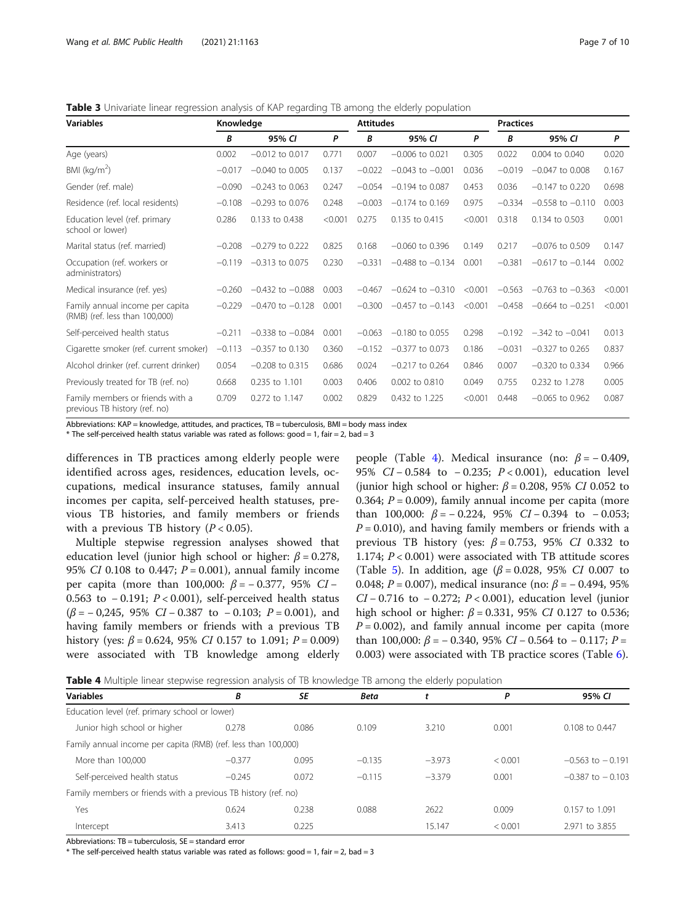<span id="page-6-0"></span>**Table 3** Univariate linear regression analysis of KAP regarding TB among the elderly population

| <b>Variables</b>                                                  | Knowledge |                      |         | <b>Attitudes</b> |                      |         | <b>Practices</b> |                      |         |
|-------------------------------------------------------------------|-----------|----------------------|---------|------------------|----------------------|---------|------------------|----------------------|---------|
|                                                                   | B         | 95% CI               | P       | B                | 95% CI               | P       | B                | 95% CI               | P       |
| Age (years)                                                       | 0.002     | $-0.012$ to 0.017    | 0.771   | 0.007            | $-0.006$ to 0.021    | 0.305   | 0.022            | 0.004 to 0.040       | 0.020   |
| BMI ( $kg/m2$ )                                                   | $-0.017$  | $-0.040$ to $0.005$  | 0.137   | $-0.022$         | $-0.043$ to $-0.001$ | 0.036   | $-0.019$         | $-0.047$ to 0.008    | 0.167   |
| Gender (ref. male)                                                | $-0.090$  | $-0.243$ to 0.063    | 0.247   | $-0.054$         | $-0.194$ to 0.087    | 0.453   | 0.036            | $-0.147$ to 0.220    | 0.698   |
| Residence (ref. local residents)                                  | $-0.108$  | $-0.293$ to 0.076    | 0.248   | $-0.003$         | $-0.174$ to 0.169    | 0.975   | $-0.334$         | $-0.558$ to $-0.110$ | 0.003   |
| Education level (ref. primary<br>school or lower)                 | 0.286     | 0.133 to 0.438       | < 0.001 | 0.275            | 0.135 to 0.415       | < 0.001 | 0.318            | 0.134 to 0.503       | 0.001   |
| Marital status (ref. married)                                     | $-0.208$  | $-0.279$ to 0.222    | 0.825   | 0.168            | $-0.060$ to 0.396    | 0.149   | 0.217            | $-0.076$ to 0.509    | 0.147   |
| Occupation (ref. workers or<br>administrators)                    | $-0.119$  | $-0.313$ to 0.075    | 0.230   | $-0.331$         | $-0.488$ to $-0.134$ | 0.001   | $-0.381$         | $-0.617$ to $-0.144$ | 0.002   |
| Medical insurance (ref. yes)                                      | $-0.260$  | $-0.432$ to $-0.088$ | 0.003   | $-0.467$         | $-0.624$ to $-0.310$ | < 0.001 | $-0.563$         | $-0.763$ to $-0.363$ | < 0.001 |
| Family annual income per capita<br>(RMB) (ref. less than 100,000) | $-0.229$  | $-0.470$ to $-0.128$ | 0.001   | $-0.300$         | $-0.457$ to $-0.143$ | < 0.001 | $-0.458$         | $-0.664$ to $-0.251$ | < 0.001 |
| Self-perceived health status                                      | $-0.211$  | $-0.338$ to $-0.084$ | 0.001   | $-0.063$         | $-0.180$ to 0.055    | 0.298   | $-0.192$         | $-.342$ to $-.0041$  | 0.013   |
| Cigarette smoker (ref. current smoker)                            | $-0.113$  | $-0.357$ to 0.130    | 0.360   | $-0.152$         | $-0.377$ to 0.073    | 0.186   | $-0.031$         | $-0.327$ to 0.265    | 0.837   |
| Alcohol drinker (ref. current drinker)                            | 0.054     | $-0.208$ to 0.315    | 0.686   | 0.024            | $-0.217$ to 0.264    | 0.846   | 0.007            | $-0.320$ to 0.334    | 0.966   |
| Previously treated for TB (ref. no)                               | 0.668     | 0.235 to 1.101       | 0.003   | 0.406            | 0.002 to 0.810       | 0.049   | 0.755            | 0.232 to 1.278       | 0.005   |
| Family members or friends with a<br>previous TB history (ref. no) | 0.709     | 0.272 to 1.147       | 0.002   | 0.829            | 0.432 to 1.225       | < 0.001 | 0.448            | $-0.065$ to 0.962    | 0.087   |

Abbreviations: KAP = knowledge, attitudes, and practices, TB = tuberculosis, BMI = body mass index

 $*$  The self-perceived health status variable was rated as follows: good = 1, fair = 2, bad = 3

differences in TB practices among elderly people were identified across ages, residences, education levels, occupations, medical insurance statuses, family annual incomes per capita, self-perceived health statuses, previous TB histories, and family members or friends with a previous TB history  $(P < 0.05)$ .

Multiple stepwise regression analyses showed that education level (junior high school or higher:  $\beta$  = 0.278, 95% CI 0.108 to 0.447;  $P = 0.001$ ), annual family income per capita (more than 100,000:  $\beta$  = − 0.377, 95% CI − 0.563 to − 0.191; P < 0.001), self-perceived health status  $(\beta = -0.245, 95\% \text{ } CI - 0.387 \text{ to } -0.103; P = 0.001), \text{ and}$ having family members or friends with a previous TB history (yes:  $\beta$  = 0.624, 95% *CI* 0.157 to 1.091;  $P = 0.009$ ) were associated with TB knowledge among elderly

people (Table 4). Medical insurance (no:  $\beta = -0.409$ , 95% *CI* − 0.584 to − 0.235; *P* < 0.001), education level (junior high school or higher:  $\beta$  = 0.208, 95% CI 0.052 to 0.364;  $P = 0.009$ ), family annual income per capita (more than 100,000:  $\beta$  = − 0.224, 95% CI − 0.394 to − 0.053;  $P = 0.010$ ), and having family members or friends with a previous TB history (yes:  $\beta = 0.753$ , 95% CI 0.332 to 1.174;  $P < 0.001$ ) were associated with TB attitude scores (Table [5](#page-7-0)). In addition, age ( $\beta$  = 0.028, 95% CI 0.007 to 0.048;  $P = 0.007$ ), medical insurance (no:  $\beta = -0.494$ , 95% CI − 0.716 to − 0.272; P < 0.001), education level (junior high school or higher:  $β = 0.331$ , 95% *CI* 0.127 to 0.536;  $P = 0.002$ ), and family annual income per capita (more than 100,000:  $\beta$  = − 0.340, 95% CI − 0.564 to − 0.117; P = 0.003) were associated with TB practice scores (Table [6](#page-7-0)).

Table 4 Multiple linear stepwise regression analysis of TB knowledge TB among the elderly population

| <b>Variables</b>                                               | B        | SE    | <b>Beta</b> |          | P       | 95% CI               |
|----------------------------------------------------------------|----------|-------|-------------|----------|---------|----------------------|
| Education level (ref. primary school or lower)                 |          |       |             |          |         |                      |
| Junior high school or higher                                   | 0.278    | 0.086 | 0.109       | 3.210    | 0.001   | 0.108 to 0.447       |
| Family annual income per capita (RMB) (ref. less than 100,000) |          |       |             |          |         |                      |
| More than 100,000                                              | $-0.377$ | 0.095 | $-0.135$    | $-3.973$ | < 0.001 | $-0.563$ to $-0.191$ |
| Self-perceived health status                                   | $-0.245$ | 0.072 | $-0.115$    | $-3.379$ | 0.001   | $-0.387$ to $-0.103$ |
| Family members or friends with a previous TB history (ref. no) |          |       |             |          |         |                      |
| Yes                                                            | 0.624    | 0.238 | 0.088       | 2622     | 0.009   | 0.157 to 1.091       |
| Intercept                                                      | 3.413    | 0.225 |             | 15.147   | < 0.001 | 2.971 to 3.855       |

Abbreviations:  $TB =$  tuberculosis,  $SE =$  standard error

 $*$  The self-perceived health status variable was rated as follows: good = 1, fair = 2, bad = 3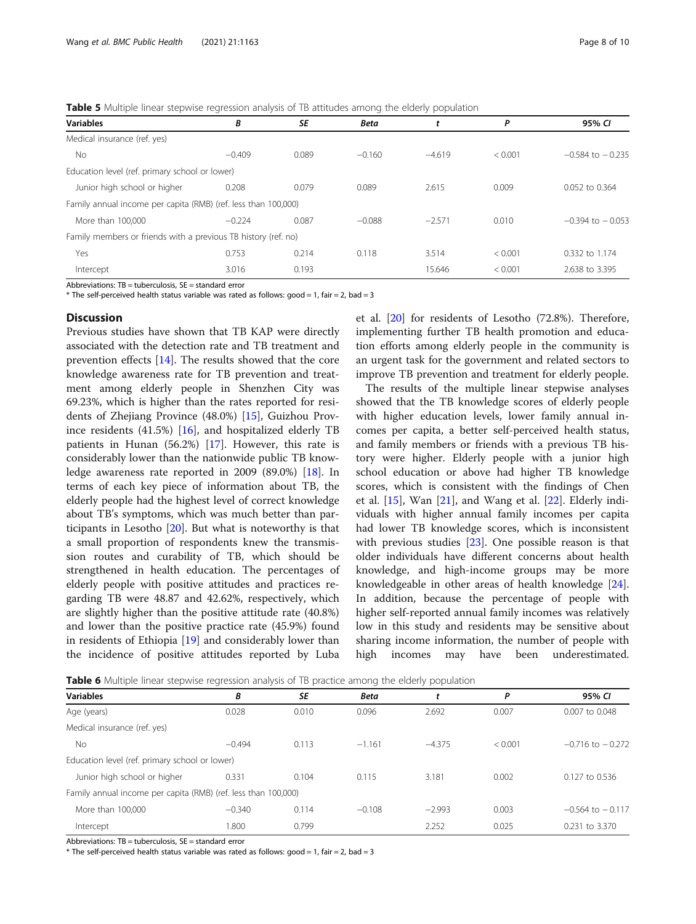<span id="page-7-0"></span>**Table 5** Multiple linear stepwise regression analysis of TB attitudes among the elderly population

| <b>Variables</b>                                               | В        | <b>SE</b> | <b>Beta</b> | t        | Ρ       | 95% CI               |
|----------------------------------------------------------------|----------|-----------|-------------|----------|---------|----------------------|
| Medical insurance (ref. yes)                                   |          |           |             |          |         |                      |
| No.                                                            | $-0.409$ | 0.089     | $-0.160$    | $-4.619$ | < 0.001 | $-0.584$ to $-0.235$ |
| Education level (ref. primary school or lower)                 |          |           |             |          |         |                      |
| Junior high school or higher                                   | 0.208    | 0.079     | 0.089       | 2.615    | 0.009   | 0.052 to 0.364       |
| Family annual income per capita (RMB) (ref. less than 100,000) |          |           |             |          |         |                      |
| More than 100,000                                              | $-0.224$ | 0.087     | $-0.088$    | $-2.571$ | 0.010   | $-0.394$ to $-0.053$ |
| Family members or friends with a previous TB history (ref. no) |          |           |             |          |         |                      |
| Yes                                                            | 0.753    | 0.214     | 0.118       | 3.514    | < 0.001 | 0.332 to 1.174       |
| Intercept                                                      | 3.016    | 0.193     |             | 15.646   | < 0.001 | 2.638 to 3.395       |

Abbreviations: TB = tuberculosis, SE = standard error

 $*$  The self-perceived health status variable was rated as follows: good = 1, fair = 2, bad = 3

## **Discussion**

Previous studies have shown that TB KAP were directly associated with the detection rate and TB treatment and prevention effects [[14\]](#page-9-0). The results showed that the core knowledge awareness rate for TB prevention and treatment among elderly people in Shenzhen City was 69.23%, which is higher than the rates reported for residents of Zhejiang Province (48.0%) [\[15\]](#page-9-0), Guizhou Province residents (41.5%) [[16](#page-9-0)], and hospitalized elderly TB patients in Hunan (56.2%) [\[17\]](#page-9-0). However, this rate is considerably lower than the nationwide public TB knowledge awareness rate reported in 2009 (89.0%) [\[18](#page-9-0)]. In terms of each key piece of information about TB, the elderly people had the highest level of correct knowledge about TB's symptoms, which was much better than participants in Lesotho [\[20](#page-9-0)]. But what is noteworthy is that a small proportion of respondents knew the transmission routes and curability of TB, which should be strengthened in health education. The percentages of elderly people with positive attitudes and practices regarding TB were 48.87 and 42.62%, respectively, which are slightly higher than the positive attitude rate (40.8%) and lower than the positive practice rate (45.9%) found in residents of Ethiopia [\[19](#page-9-0)] and considerably lower than the incidence of positive attitudes reported by Luba

et al. [\[20\]](#page-9-0) for residents of Lesotho (72.8%). Therefore, implementing further TB health promotion and education efforts among elderly people in the community is an urgent task for the government and related sectors to improve TB prevention and treatment for elderly people.

The results of the multiple linear stepwise analyses showed that the TB knowledge scores of elderly people with higher education levels, lower family annual incomes per capita, a better self-perceived health status, and family members or friends with a previous TB history were higher. Elderly people with a junior high school education or above had higher TB knowledge scores, which is consistent with the findings of Chen et al.  $[15]$  $[15]$  $[15]$ , Wan  $[21]$  $[21]$ , and Wang et al.  $[22]$  $[22]$ . Elderly individuals with higher annual family incomes per capita had lower TB knowledge scores, which is inconsistent with previous studies [[23\]](#page-9-0). One possible reason is that older individuals have different concerns about health knowledge, and high-income groups may be more knowledgeable in other areas of health knowledge [\[24](#page-9-0)]. In addition, because the percentage of people with higher self-reported annual family incomes was relatively low in this study and residents may be sensitive about sharing income information, the number of people with high incomes may have been underestimated.

**Table 6** Multiple linear stepwise regression analysis of TB practice among the elderly population

| <b>Variables</b>                                               | B        | <b>SE</b> | <b>Beta</b> |          | P       | 95% CI               |
|----------------------------------------------------------------|----------|-----------|-------------|----------|---------|----------------------|
| Age (years)                                                    | 0.028    | 0.010     | 0.096       | 2.692    | 0.007   | 0.007 to 0.048       |
| Medical insurance (ref. yes)                                   |          |           |             |          |         |                      |
| <b>No</b>                                                      | $-0.494$ | 0.113     | $-1.161$    | $-4.375$ | < 0.001 | $-0.716$ to $-0.272$ |
| Education level (ref. primary school or lower)                 |          |           |             |          |         |                      |
| Junior high school or higher                                   | 0.331    | 0.104     | 0.115       | 3.181    | 0.002   | $0.127$ to 0.536     |
| Family annual income per capita (RMB) (ref. less than 100,000) |          |           |             |          |         |                      |
| More than 100,000                                              | $-0.340$ | 0.114     | $-0.108$    | $-2.993$ | 0.003   | $-0.564$ to $-0.117$ |
| Intercept                                                      | 1.800    | 0.799     |             | 2.252    | 0.025   | 0.231 to 3.370       |
|                                                                |          |           |             |          |         |                      |

Abbreviations:  $TB =$  tuberculosis,  $SE =$  standard error

 $*$  The self-perceived health status variable was rated as follows: good = 1, fair = 2, bad = 3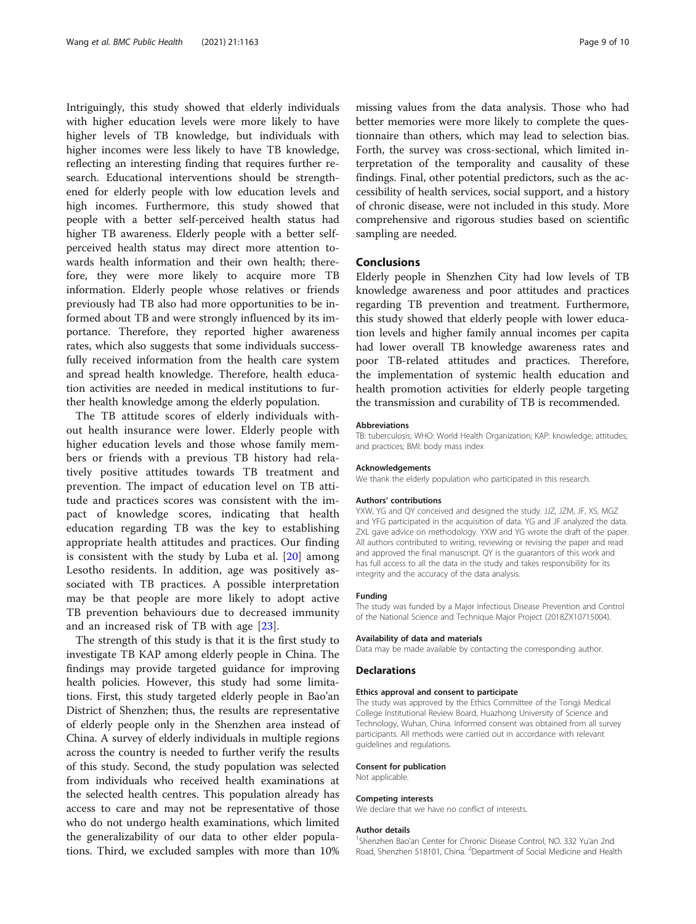Intriguingly, this study showed that elderly individuals with higher education levels were more likely to have higher levels of TB knowledge, but individuals with higher incomes were less likely to have TB knowledge, reflecting an interesting finding that requires further research. Educational interventions should be strengthened for elderly people with low education levels and high incomes. Furthermore, this study showed that people with a better self-perceived health status had higher TB awareness. Elderly people with a better selfperceived health status may direct more attention towards health information and their own health; therefore, they were more likely to acquire more TB information. Elderly people whose relatives or friends previously had TB also had more opportunities to be informed about TB and were strongly influenced by its importance. Therefore, they reported higher awareness rates, which also suggests that some individuals successfully received information from the health care system and spread health knowledge. Therefore, health education activities are needed in medical institutions to further health knowledge among the elderly population.

The TB attitude scores of elderly individuals without health insurance were lower. Elderly people with higher education levels and those whose family members or friends with a previous TB history had relatively positive attitudes towards TB treatment and prevention. The impact of education level on TB attitude and practices scores was consistent with the impact of knowledge scores, indicating that health education regarding TB was the key to establishing appropriate health attitudes and practices. Our finding is consistent with the study by Luba et al. [\[20](#page-9-0)] among Lesotho residents. In addition, age was positively associated with TB practices. A possible interpretation may be that people are more likely to adopt active TB prevention behaviours due to decreased immunity and an increased risk of TB with age [[23\]](#page-9-0).

The strength of this study is that it is the first study to investigate TB KAP among elderly people in China. The findings may provide targeted guidance for improving health policies. However, this study had some limitations. First, this study targeted elderly people in Bao'an District of Shenzhen; thus, the results are representative of elderly people only in the Shenzhen area instead of China. A survey of elderly individuals in multiple regions across the country is needed to further verify the results of this study. Second, the study population was selected from individuals who received health examinations at the selected health centres. This population already has access to care and may not be representative of those who do not undergo health examinations, which limited the generalizability of our data to other elder populations. Third, we excluded samples with more than 10% missing values from the data analysis. Those who had better memories were more likely to complete the questionnaire than others, which may lead to selection bias. Forth, the survey was cross-sectional, which limited interpretation of the temporality and causality of these findings. Final, other potential predictors, such as the accessibility of health services, social support, and a history of chronic disease, were not included in this study. More comprehensive and rigorous studies based on scientific sampling are needed.

## Conclusions

Elderly people in Shenzhen City had low levels of TB knowledge awareness and poor attitudes and practices regarding TB prevention and treatment. Furthermore, this study showed that elderly people with lower education levels and higher family annual incomes per capita had lower overall TB knowledge awareness rates and poor TB-related attitudes and practices. Therefore, the implementation of systemic health education and health promotion activities for elderly people targeting the transmission and curability of TB is recommended.

#### Abbreviations

TB: tuberculosis; WHO: World Health Organization; KAP: knowledge, attitudes, and practices; BMI: body mass index

#### Acknowledgements

We thank the elderly population who participated in this research.

#### Authors' contributions

YXW, YG and QY conceived and designed the study. JJZ, JZM, JF, XS, MGZ and YFG participated in the acquisition of data. YG and JF analyzed the data. ZXL gave advice on methodology. YXW and YG wrote the draft of the paper. All authors contributed to writing, reviewing or revising the paper and read and approved the final manuscript. QY is the guarantors of this work and has full access to all the data in the study and takes responsibility for its integrity and the accuracy of the data analysis.

#### Funding

The study was funded by a Major Infectious Disease Prevention and Control of the National Science and Technique Major Project (2018ZX10715004).

#### Availability of data and materials

Data may be made available by contacting the corresponding author.

### **Declarations**

## Ethics approval and consent to participate

The study was approved by the Ethics Committee of the Tongji Medical College Institutional Review Board, Huazhong University of Science and Technology, Wuhan, China. Informed consent was obtained from all survey participants. All methods were carried out in accordance with relevant guidelines and regulations.

## Consent for publication

Not applicable.

#### Competing interests

We declare that we have no conflict of interests.

#### Author details

<sup>1</sup>Shenzhen Bao'an Center for Chronic Disease Control, NO. 332 Yu'an 2nd Road, Shenzhen 518101, China. <sup>2</sup>Department of Social Medicine and Health